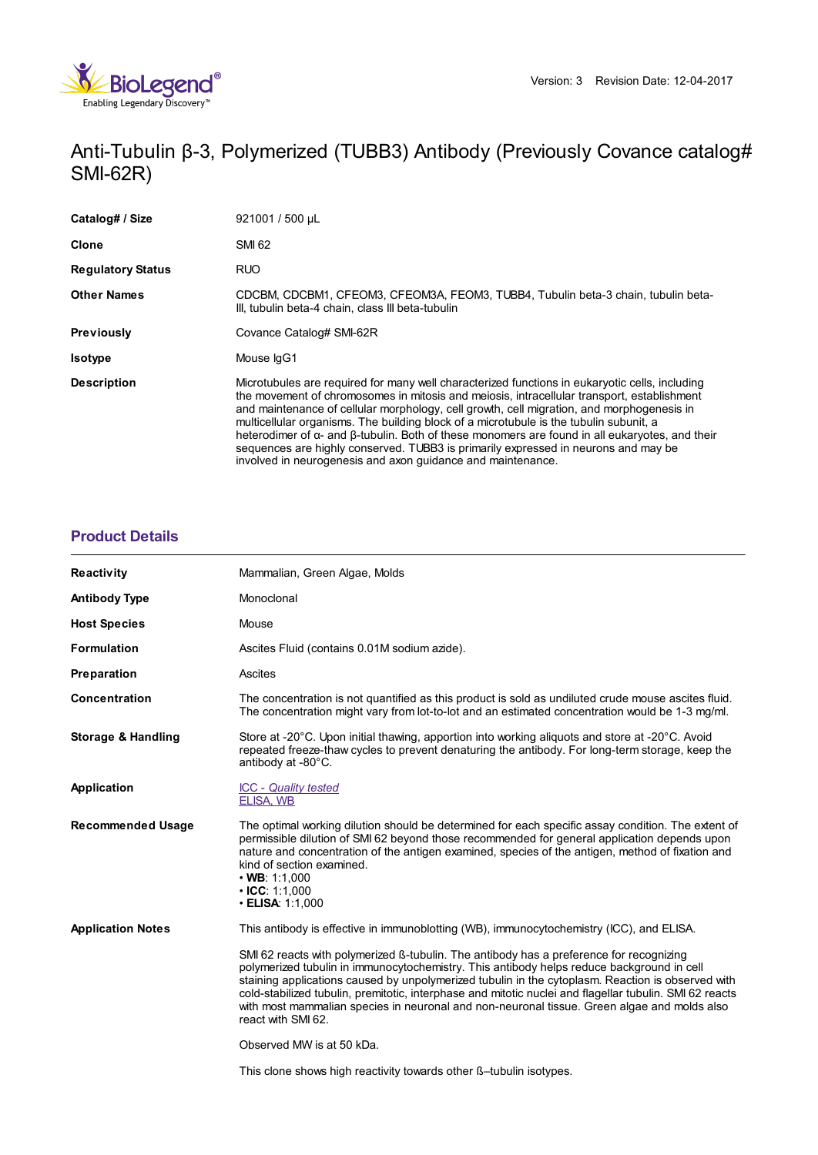

# Anti-Tubulin β-3, Polymerized (TUBB3) Antibody (Previously Covance catalog# SMI-62R)

| Catalog# / Size          | 921001 / 500 µL                                                                                                                                                                                                                                                                                                                                                                                                                                                                                                                                                                                                                                           |
|--------------------------|-----------------------------------------------------------------------------------------------------------------------------------------------------------------------------------------------------------------------------------------------------------------------------------------------------------------------------------------------------------------------------------------------------------------------------------------------------------------------------------------------------------------------------------------------------------------------------------------------------------------------------------------------------------|
| Clone                    | SMI 62                                                                                                                                                                                                                                                                                                                                                                                                                                                                                                                                                                                                                                                    |
| <b>Regulatory Status</b> | <b>RUO</b>                                                                                                                                                                                                                                                                                                                                                                                                                                                                                                                                                                                                                                                |
| <b>Other Names</b>       | CDCBM, CDCBM1, CFEOM3, CFEOM3A, FEOM3, TUBB4, Tubulin beta-3 chain, tubulin beta-<br>III, tubulin beta-4 chain, class III beta-tubulin                                                                                                                                                                                                                                                                                                                                                                                                                                                                                                                    |
| Previously               | Covance Catalog# SMI-62R                                                                                                                                                                                                                                                                                                                                                                                                                                                                                                                                                                                                                                  |
| <b>Isotype</b>           | Mouse IgG1                                                                                                                                                                                                                                                                                                                                                                                                                                                                                                                                                                                                                                                |
| <b>Description</b>       | Microtubules are required for many well characterized functions in eukaryotic cells, including<br>the movement of chromosomes in mitosis and meiosis, intracellular transport, establishment<br>and maintenance of cellular morphology, cell growth, cell migration, and morphogenesis in<br>multicellular organisms. The building block of a microtubule is the tubulin subunit, a<br>heterodimer of $\alpha$ - and $\beta$ -tubulin. Both of these monomers are found in all eukaryotes, and their<br>sequences are highly conserved. TUBB3 is primarily expressed in neurons and may be<br>involved in neurogenesis and axon quidance and maintenance. |

## **[Product](https://www.biolegend.com/nl-nl/products/anti-tubulin-beta-3-polymerized-tubb3-antibody-11159?pdf=true&displayInline=true&leftRightMargin=15&topBottomMargin=15&filename=Anti-Tubulin %EF%BF%BD%EF%BF%BD-3, Polymerized (TUBB3) Antibody.pdf#productDetails) Details**

| <b>Reactivity</b>             | Mammalian, Green Algae, Molds                                                                                                                                                                                                                                                                                                                                                                                                                                                                                             |
|-------------------------------|---------------------------------------------------------------------------------------------------------------------------------------------------------------------------------------------------------------------------------------------------------------------------------------------------------------------------------------------------------------------------------------------------------------------------------------------------------------------------------------------------------------------------|
| <b>Antibody Type</b>          | Monoclonal                                                                                                                                                                                                                                                                                                                                                                                                                                                                                                                |
| <b>Host Species</b>           | Mouse                                                                                                                                                                                                                                                                                                                                                                                                                                                                                                                     |
| <b>Formulation</b>            | Ascites Fluid (contains 0.01M sodium azide).                                                                                                                                                                                                                                                                                                                                                                                                                                                                              |
| Preparation                   | Ascites                                                                                                                                                                                                                                                                                                                                                                                                                                                                                                                   |
| <b>Concentration</b>          | The concentration is not quantified as this product is sold as undiluted crude mouse ascites fluid.<br>The concentration might vary from lot-to-lot and an estimated concentration would be 1-3 mg/ml.                                                                                                                                                                                                                                                                                                                    |
| <b>Storage &amp; Handling</b> | Store at -20°C. Upon initial thawing, apportion into working aliquots and store at -20°C. Avoid<br>repeated freeze-thaw cycles to prevent denaturing the antibody. For long-term storage, keep the<br>antibody at -80°C.                                                                                                                                                                                                                                                                                                  |
| Application                   | <b>ICC</b> - Quality tested<br>ELISA, WB                                                                                                                                                                                                                                                                                                                                                                                                                                                                                  |
| <b>Recommended Usage</b>      | The optimal working dilution should be determined for each specific assay condition. The extent of<br>permissible dilution of SMI 62 beyond those recommended for general application depends upon<br>nature and concentration of the antigen examined, species of the antigen, method of fixation and<br>kind of section examined.<br>$\cdot$ WB: 1:1,000<br>$\cdot$ ICC: 1:1,000<br>$\cdot$ ELISA: 1:1,000                                                                                                              |
| <b>Application Notes</b>      | This antibody is effective in immunoblotting (WB), immunocytochemistry (ICC), and ELISA.                                                                                                                                                                                                                                                                                                                                                                                                                                  |
|                               | SMI 62 reacts with polymerized ß-tubulin. The antibody has a preference for recognizing<br>polymerized tubulin in immunocytochemistry. This antibody helps reduce background in cell<br>staining applications caused by unpolymerized tubulin in the cytoplasm. Reaction is observed with<br>cold-stabilized tubulin, premitotic, interphase and mitotic nuclei and flagellar tubulin. SMI 62 reacts<br>with most mammalian species in neuronal and non-neuronal tissue. Green algae and molds also<br>react with SMI 62. |
|                               | Observed MW is at 50 kDa.                                                                                                                                                                                                                                                                                                                                                                                                                                                                                                 |
|                               | This clone shows high reactivity towards other B-tubulin isotypes.                                                                                                                                                                                                                                                                                                                                                                                                                                                        |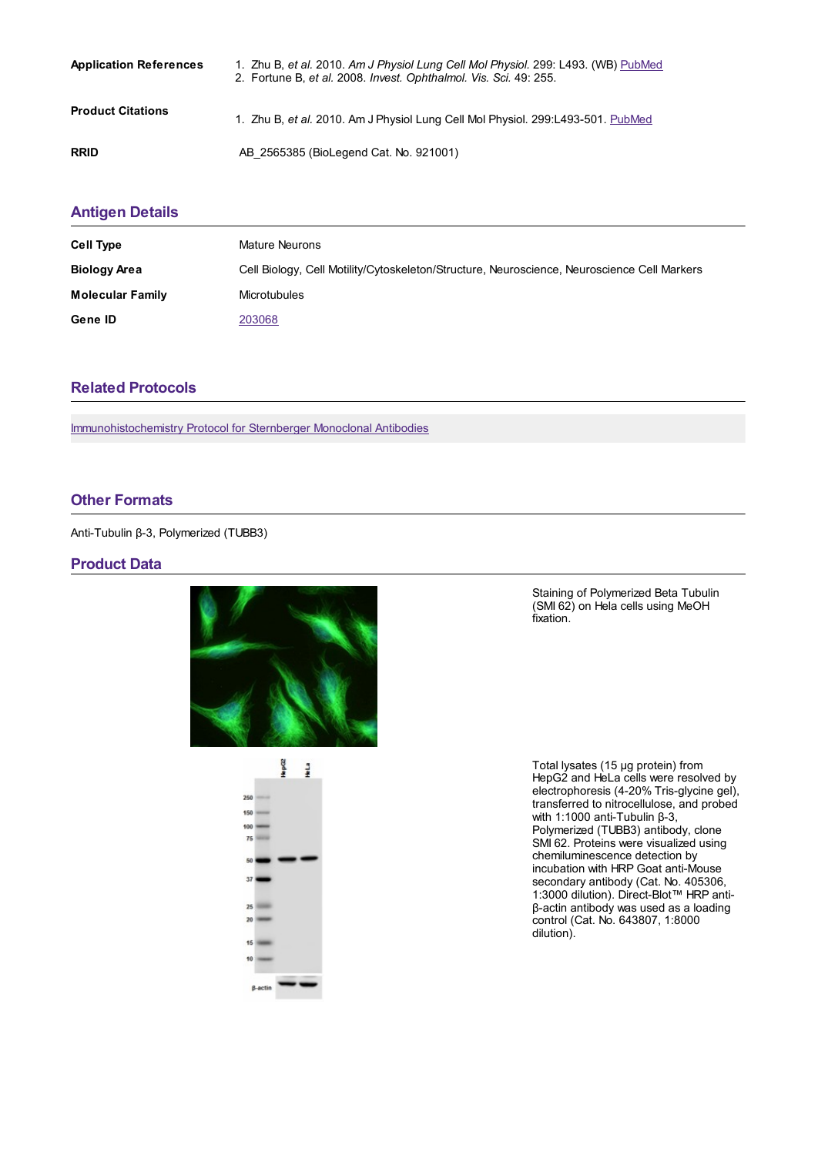| <b>Application References</b> | 1. Zhu B, et al. 2010. Am J Physiol Lung Cell Mol Physiol. 299: L493. (WB) PubMed<br>2. Fortune B, et al. 2008. Invest. Ophthalmol. Vis. Sci. 49: 255. |
|-------------------------------|--------------------------------------------------------------------------------------------------------------------------------------------------------|
| <b>Product Citations</b>      | 1. Zhu B, et al. 2010. Am J Physiol Lung Cell Mol Physiol. 299:L493-501. PubMed                                                                        |
| <b>RRID</b>                   | AB 2565385 (BioLegend Cat. No. 921001)                                                                                                                 |

#### **[Antigen](https://www.biolegend.com/nl-nl/products/anti-tubulin-beta-3-polymerized-tubb3-antibody-11159?pdf=true&displayInline=true&leftRightMargin=15&topBottomMargin=15&filename=Anti-Tubulin %EF%BF%BD%EF%BF%BD-3, Polymerized (TUBB3) Antibody.pdf#antigenDetails) Details**

| <b>Cell Type</b>        | <b>Mature Neurons</b>                                                                       |
|-------------------------|---------------------------------------------------------------------------------------------|
| <b>Biology Area</b>     | Cell Biology, Cell Motility/Cytoskeleton/Structure, Neuroscience, Neuroscience Cell Markers |
| <b>Molecular Family</b> | <b>Microtubules</b>                                                                         |
| Gene ID                 | 203068                                                                                      |

### **Related [Protocols](https://www.biolegend.com/nl-nl/products/anti-tubulin-beta-3-polymerized-tubb3-antibody-11159?pdf=true&displayInline=true&leftRightMargin=15&topBottomMargin=15&filename=Anti-Tubulin %EF%BF%BD%EF%BF%BD-3, Polymerized (TUBB3) Antibody.pdf#productRelatedProtocols)**

[Immunohistochemistry](https://www.biolegend.com/protocols/immunohistochemistry-protocol-for-sternberger-monoclonal-antibodies/4253/) Protocol for Sternberger Monoclonal Antibodies

#### **Other [Formats](https://www.biolegend.com/nl-nl/products/anti-tubulin-beta-3-polymerized-tubb3-antibody-11159?pdf=true&displayInline=true&leftRightMargin=15&topBottomMargin=15&filename=Anti-Tubulin %EF%BF%BD%EF%BF%BD-3, Polymerized (TUBB3) Antibody.pdf#productOtherFormats)**

Anti-Tubulin β-3, Polymerized (TUBB3)

#### **Product Data**





Staining of Polymerized Beta Tubulin (SMI 62) on Hela cells using MeOH fixation.

Total lysates (15 µg protein) from HepG2 and HeLa cells were resolved by electrophoresis (4-20% Tris-glycine gel), transferred to nitrocellulose, and probed with 1:1000 anti-Tubulin β-3, Polymerized (TUBB3) antibody, clone SMI 62. Proteins were visualized using chemiluminescence detection by incubation with HRP Goat anti-Mouse secondary antibody (Cat. No. 405306, 1:3000 dilution). Direct-Blot™ HRP antiβ-actin antibody was used as a loading control (Cat. No. 643807, 1:8000 dilution).